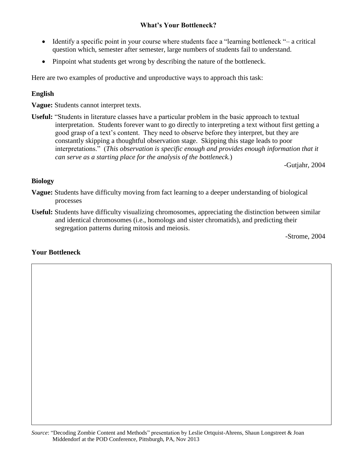# **What's Your Bottleneck?**

- Identify a specific point in your course where students face a "learning bottleneck "– a critical question which, semester after semester, large numbers of students fail to understand.
- Pinpoint what students get wrong by describing the nature of the bottleneck.

Here are two examples of productive and unproductive ways to approach this task:

## **English**

**Vague:** Students cannot interpret texts.

**Useful:** "Students in literature classes have a particular problem in the basic approach to textual interpretation. Students forever want to go directly to interpreting a text without first getting a good grasp of a text's content. They need to observe before they interpret, but they are constantly skipping a thoughtful observation stage. Skipping this stage leads to poor interpretations." (*This observation is specific enough and provides enough information that it can serve as a starting place for the analysis of the bottleneck.*)

-Gutjahr, 2004

### **Biology**

- **Vague:** Students have difficulty moving from fact learning to a deeper understanding of biological processes
- **Useful:** Students have difficulty visualizing chromosomes, appreciating the distinction between similar and identical chromosomes (i.e., homologs and sister chromatids), and predicting their segregation patterns during mitosis and meiosis.

-Strome, 2004

### **Your Bottleneck**